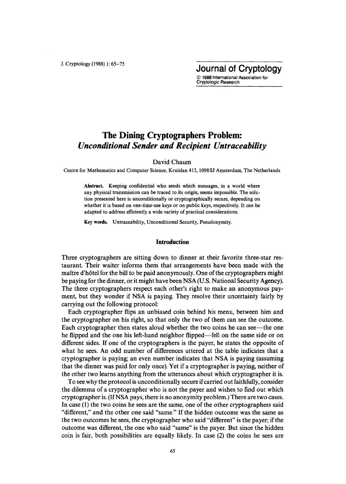# J. Cryptology (1988) 1:65-75 **Journal of Cryptology**

**9 1988 International Association for**  Cryptologic **Research** 

# **The Dining Cryptographers Problem:**  *Unconditional Sender and Recipient Untraceability*

# David Chaum

Centre for Mathematics and Computer Science, Kruislan 413, 1098 SJ Amsterdam, The Netherlands

**Abstract.** Keeping confidential who sends which messages, in a world where any physical transmission can be traced to its origin, seems impossible. The solution presented here is unconditionally or cryptographically secure, depending on whether it is based on one-time-use keys or on public keys, respectively. It can be adapted to address efficiently a wide variety of practical considerations.

Key words. Untraceability, Unconditional Security, Pseudonymity.

# **Introduction**

Three cryptographers are sitting down to dinner at their favorite three-star restaurant. Their waiter informs them that arrangements have been made with the maitre d'h6tel for the bill to be paid anonymously. One of the cryptographers might be paying for the dinner, or it might have been NSA (U.S. National Security Agency). The three cryptographers respect each other's right to make an anonymous payment, but they wonder if NSA is paying. They resolve their uncertainty fairly by carrying out the following protocol:

Each cryptographer flips an unbiased coin behind his menu, between him and the cryptographer on his right, so that only the two of them can see the outcome. Each cryptographer then states aloud whether the two coins he can see—the one he flipped and the one his left-hand neighbor flipped—fell on the same side or on different sides. If one of the cryptographers is the payer, he states the opposite of what he sees. An odd number of differences uttered at the table indicates that a cryptographer is paying; an even number indicates that NSA is paying (assuming that the dinner was paid for only once). Yet if a cryptographer is paying, neither of the other two learns anything from the utterances about which cryptographer it is.

To see why the protocol is unconditionally secure if carried out faithfully, consider the dilemma of a cryptographer who is not the payer and wishes to find out which cryptographer is. (IfNSA pays, there is no anonymity problem.) There are two cases. In case (1) the two coins he sees are the same, one of the other cryptographers said "different," and the other one said "same." If the hidden outcome was the same as the two outcomes he sees, the cryptographer who said "different" is the payer; if the outcome was different, the one who said "same" is the payer. But since the hidden coin is fair, both possibilities are equally likely. In case (2) the coins he sees are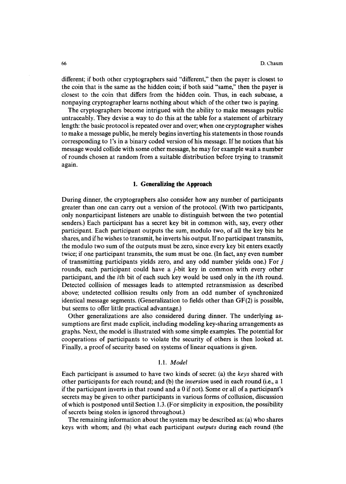different; if both other cryptographers said "different," then the payer is closest to the coin that is the same as the hidden coin; if both said "same," then the payer is closest to the coin that differs from the hidden coin. Thus, in each subcase, a nonpaying cryptographer learns nothing about which of the other two is paying.

The cryptographers become intrigued with the ability to make messages public untraceably. They devise a way to do this at the table for a statement of arbitrary length: the basic protocol is repeated over and over; when one cryptographer wishes to make a message public, he merely begins inverting his statements in those rounds corresponding to l's in a binary coded version of his message. If he notices that his message would collide with some other message, he may for example wait a number of rounds chosen at random from a suitable distribution before trying to transmit again.

# **1. Generalizing the Approach**

During dinner, the cryptographers also consider how any number of participants greater than one can carry out a version of the protocol. (With two participants, only nonparticipant listeners are unable to distinguish between the two potential senders.) Each participant has a secret key bit in common with, say, every other participant. Each participant outputs the sum, modulo two, of all the key bits he shares, and if he wishes to transmit, he inverts his output. If no participant transmits, the modulo two sum of the outputs must be zero, since every key bit enters exactly twice; if one participant transmits, the sum must be one. (In fact, any even number of transmitting participants yields zero, and any odd number yields one.) For j rounds, each participant could have a j-bit key in common with every other participant, and the ith bit of each such key would be used only in the ith round. Detected collision of messages leads to attempted retransmission as described above; undetected collision results only from an odd number of synchronized identical message segments. (Generalization to fields other than GF(2) is possible, but seems to offer little practical advantage.)

Other generalizations are also considered during dinner. The underlying assumptions are first made explicit, including modeling key-sharing arrangements as graphs. Next, the model is illustrated with some simple examples. The potential for cooperations of participants to violate the security of others is then looked at. Finally, a proof of security based on systems of linear equations is given.

# 1.1. *Model*

Each participant is assumed to have two kinds of secret: (a) the *keys* shared with other participants for each round; and (b) the *inversion* used in each round (i.e., a 1 if the participant inverts in that round and a 0 if not). Some or all of a participant's secrets may be given to other participants in various forms of collusion, discussion of which is postponed until Section 1.3. (For simplicity in exposition, the possibility of secrets being stolen is ignored throughout.)

The remaining information about the system may be described as: (a) who shares keys with whom; and (b) what each participant *outputs* during each round (the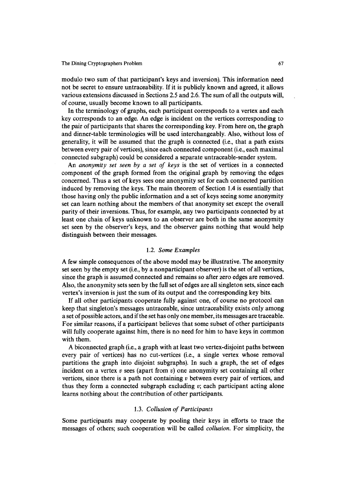modulo two sum of that participant's keys and inversion). This information need not be secret to ensure untraceability. If it is publicly known and agreed, it allows various extensions discussed in Sections 2.5 and 2.6. The sum of all the outputs will, of course, usually become known to all participants.

In the terminology of graphs, each participant corresponds to a vertex and each key corresponds to an edge. An edge is incident on the vertices corresponding to the pair of participants that shares the corresponding key. From here on, the graph and dinner-table terminologies will be used interchangeably. Also, without loss of generality, it will be assumed that the graph is connected (i.e., that a path exists between every pair of vertices), since each connected component (i.e., each maximal connected subgraph) could be considered a separate untraceable-sender system.

*An anonymity set seen by a set of keys* is the set of vertices in a connected component of the graph formed from the original graph by removing the edges concerned. Thus a set of keys sees one anonymity set for each connected partition induced by removing the keys. The main theorem of Section 1.4 is essentially that those having only the public information and a set of keys seeing some anonymity set can learn nothing about the members of that anonymity set except the overall parity of their inversions. Thus, for example, any two participants connected by at least one chain of keys unknown to an observer are both in the same anonymity set seen by the observer's keys, and the observer gains nothing that would help distinguish between their messages.

#### 1.2. *Some Examples*

A few simple consequences of the above model may be illustrative. The anonymity set seen by the empty set (i.e., by a nonparticipant observer) is the set of all vertices, since the graph is assumed connected and remains so after zero edges are removed. Also, the anonymity sets seen by the full set of edges are all singleton sets, since each vertex's inversion is just the sum of its output and the corresponding key bits.

If all other participants cooperate fully against one, of course no protocol can keep that singleton's messages untraceable, since untraceability exists only among a set of possible actors, and if the set has only one member, its messages are traceable. For similar reasons, if a participant believes that some subset of other participants will fully cooperate against him, there is no need for him to have keys in common with them.

A biconnected graph (i.e., a graph with at least two vertex-disjoint paths between every pair of vertices) has no cut-vertices (i.e., a single vertex whose removal partitions the graph into disjoint subgraphs). In such a graph, the set of edges incident on a vertex  $v$  sees (apart from  $v$ ) one anonymity set containing all other vertices, since there is a path not containing  $v$  between every pair of vertices, and thus they form a connected subgraph excluding  $v$ ; each participant acting alone learns nothing about the contribution of other participants.

# *1.3. Collusion of Participants*

Some participants may cooperate by pooling their keys in efforts to trace the messages of others; such cooperation will be called *collusion.* For simplicity, the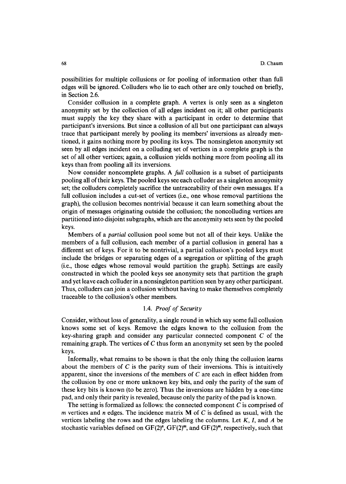possibilities for multiple collusions or for pooling of information other than full edges will be ignored. Colluders who lie to each other are only touched on briefly, in Section 2.6.

Consider collusion in a complete graph. A vertex is only seen as a singleton anonymity set by the collection of all edges incident on it; all other participants must supply the key they share with a participant in order to determine that participant's inversions. But since a collusion of all but one participant can always trace that participant merely by pooling its members' inversions as already mentioned, it gains nothing more by pooling its keys. The nonsingleton anonymity set seen by all edges incident on a colluding set of vertices in a complete graph is the set of all other vertices; again, a collusion yields nothing more from pooling all its keys than from pooling all its inversions.

Now consider noncomplete graphs. A *full* collusion is a subset of participants pooling all of their keys. The pooled keys see each colluder as a singleton anonymity set; the colluders completely sacrifice the untraceability of their own messages. If a full collusion includes a cut-set of vertices (i.e., one whose removal partitions the graph), the collusion becomes nontrivial because it can learn something about the origin of messages originating outside the collusion; the noncolluding vertices are partitioned into disjoint subgraphs, which are the anonymity sets seen by the pooled keys.

Members of a *partial* collusion pool some but not all of their keys. Unlike the members of a full collusion, each member of a partial collusion in general has a different set of keys. For it to be nontrivial, a partial collusion's pooled keys must include the bridges or separating edges of a segregation or splitting of the graph (i.e., those edges whose removal would partition the graph). Settings are easily constructed in which the pooled keys see anonymity sets that partition the graph and yet leave each colluder in a nonsingleton partition seen by any other participant. Thus, colluders can join a collusion without having to make themselves completely traceable to the collusion's other members.

# *1.4. Proof of Security*

Consider, without loss of generality, a single round in which say some full collusion knows some set of keys. Remove the edges known to the collusion from the key-sharing graph and consider any particular connected component C of the remaining graph. The vertices of  $C$  thus form an anonymity set seen by the pooled keys.

Informally, what remains to be shown is that the only thing the collusion learns about the members of  $C$  is the parity sum of their inversions. This is intuitively apparent, since the inversions of the members of C are each in effect hidden from the collusion by one or more unknown key bits, and only the parity of the sum of these key bits is known (to be zero). Thus the inversions are hidden by a one-time pad, and only their parity is revealed, because only the parity of the pad is known.

The setting is formalized as follows: the connected component  $C$  is comprised of m vertices and n edges. The incidence matrix  $M$  of  $C$  is defined as usual, with the vertices labeling the rows and the edges labeling the columns. Let  $K$ ,  $I$ , and  $A$  be stochastic variables defined on  $GF(2)^n$ ,  $GF(2)^m$ , and  $GF(2)^m$ , respectively, such that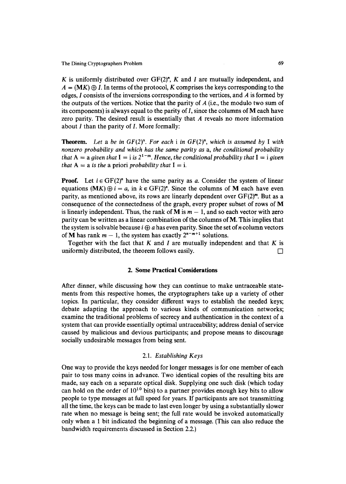K is uniformly distributed over  $GF(2)^n$ , K and I are mutually independent, and  $A = (MK) \oplus I$ . In terms of the protocol, K comprises the keys corresponding to the edges, I consists of the inversions corresponding to the vertices, and A is formed by the outputs of the vertices. Notice that the parity of  $A$  (i.e., the modulo two sum of its components) is always equal to the parity of  $I$ , since the columns of  $M$  each have zero parity. The desired result is essentially that A reveals no more information about I than the parity of I. More formally:

**Theorem.** Let a be in  $GF(2)^n$ . For each i in  $GF(2)^n$ , which is assumed by I with *nonzero probability and which has the same parity as* a, *the conditional probability that*  $A = a$  *given that*  $I = i$  *is*  $2^{1-m}$ *. Hence, the conditional probability that*  $I = i$  *given that*  $A = a$  *is the a priori probability that*  $I = i$ *.* 

**Proof.** Let  $i \in GF(2)^n$  have the same parity as a. Consider the system of linear equations (MK)  $\oplus$  i = a, in k  $\in$  GF(2)<sup>n</sup>. Since the columns of M each have even parity, as mentioned above, its rows are linearly dependent over  $GF(2)<sup>m</sup>$ . But as a consequence of the connectedness of the graph, every proper subset of rows of M is linearly independent. Thus, the rank of M is  $m - 1$ , and so each vector with zero parity can be written as a linear combination of the columns of M. This implies that the system is solvable because  $i \oplus a$  has even parity. Since the set of *n* column vectors of **M** has rank  $m - 1$ , the system has exactly  $2^{n-m+1}$  solutions.

Together with the fact that  $K$  and  $I$  are mutually independent and that  $K$  is uniformly distributed, the theorem follows easily.  $\Box$ 

# **2. Some Practical Considerations**

After dinner, while discussing how they can continue to make untraceable statements from this respective homes, the cryptographers take up a variety of other topics. In particular, they consider different ways to establish the needed keys; debate adapting the approach to various kinds of communication networks; examine the traditional problems of secrecy and authentication in the context of a system that can provide essentially optimal untraceability; address denial of service caused by malicious and devious participants; and propose means to discourage socially undesirable messages from being sent.

#### 2.1. *Establishing Keys*

One way to provide the keys needed for longer messages is for one member of each pair to toss many coins in advance. Two identical copies of the resulting bits are made, say each on a separate optical disk. Supplying one such disk (which today can hold on the order of  $10^{10}$  bits) to a partner provides enough key bits to allow people to type messages at full speed for years. If participants are not transmitting all the time, the keys can be made to last even longer by using a substantially slower rate when no message is being sent; the full rate would be invoked automatically only when a 1 bit indicated the beginning of a message. (This can also reduce the bandwidth requirements discussed in Section 2.2.)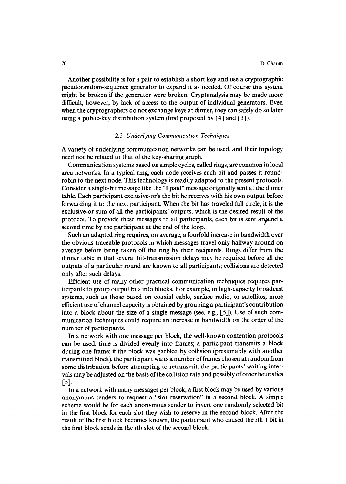Another possibility is for a pair to establish a short key and use a cryptographic pseudorandom-sequence generator to expand it as needed. Of course this system might be broken if the generator were broken. Cryptanalysis may be made more difficult, however, by lack of access to the output of individual generators. Even when the cryptographers do not exchange keys at dinner, they can safely do so later using a public-key distribution system (first proposed by [4] and [3]).

# 2.2 *Underlying Communication Techniques*

A variety of underlying communication networks can be used, and their topology need not be related to that of the key-sharing graph.

Communication systems based on simple cycles, called rings, are common in local area networks. In a typical ring, each node receives each bit and passes it roundrobin to the next node. This technology is readily adapted to the present protocols. Consider a single-bit message like the "I paid" message originally sent at the dinner table. Each participant exclusive-or's the bit he receives with his own output before forwarding it to the next participant. When the bit has traveled full circle, it is the exclusive-or sum of all the participants' outputs, which is the desired result of the protocol. To provide these messages to all participants, each bit is sent around a second time by the participant at the end of the loop.

Such an adapted ring requires, on average, a fourfold increase in bandwidth over the obvious traceable protocols in which messages travel only halfway around on average before being taken off the ring by their recipients. Rings differ from the dinner table in that several bit-transmission delays may be required before all the outputs of a particular round are known to all participants; collisions are detected only after such delays.

Efficient use of many other practical communication techniques requires participants to group output bits into blocks. For example, in high-capacity broadcast systems, such as those based on coaxial cable, surface radio, or satellites, more efficient use of channel capacity is obtained by grouping a participant's contribution into a block about the size of a single message (see, e.g., [5]). Use of such communication techniques could require an increase in bandwidth on the order of the number of participants.

In a network with one message per block, the well-known contention protocols can be used: time is divided evenly into frames; a participant transmits a block during one frame; if the block was garbled by collision (presumably with another transmitted block), the participant waits a number of frames chosen at random from some distribution before attempting to retransmit; the participants' waiting intervals may be adjusted on the basis of the collision rate and possibly of other heuristics [5].

In a network with many messages per block, a first block may be used by various anonymous senders to request a "slot reservation" in a second block. A simple scheme would be for each anonymous sender to invert one randomly selected bit in the first block for each slot they wish to reserve in the second block. After the result of the first block becomes known, the participant who caused the ith 1 bit in the first block sends in the ith slot of the second block.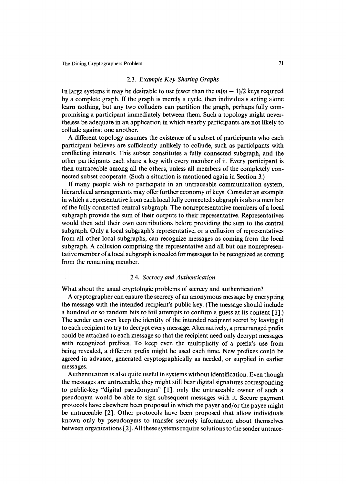# 2.3. *Example Key-Sharing Graphs*

In large systems it may be desirable to use fewer than the  $m(m - 1)/2$  keys required by a complete graph. If the graph is merely a cycle, then individuals acting alone learn nothing, but any two colluders can partition the graph, perhaps fully compromising a participant immediately between them. Such a topology might nevertheless be adequate in an application in which nearby participants are not likely to collude against one another.

A different topology assumes the existence of a subset of participants who each participant believes are sufficiently unlikely to collude, such as participants with conflicting interests. This subset constitutes a fully connected subgraph, and the other participants each share a key with every member of it. Every participant is then untraceable among all the others, unless all members of the completely connected subset cooperate. (Such a situation is mentioned again in Section 3.)

If many people wish to participate in an untraceable communication system, hierarchical arrangements may offer further economy of keys. Consider an example in which a representative from each local fully connected subgraph is also a member of the fully connected central subgraph. The nonrepresentative members of a local subgraph provide the sum of their outputs to their representative. Representatives would then add their own contributions before providing the sum to the central subgraph. Only a local subgraph's representative, or a collusion of representatives from all other local subgraphs, can recognize messages as coming from the local subgraph. A collusion comprising the representative and all but one nonrepresentative member of a local subgraph is needed for messages to be recognized as coming from the remaining member.

# 2.4. *Secrecy and Authentication*

What about the usual cryptologic problems of secrecy and authentication?

A cryptographer can ensure the secrecy of an anonymous message by encrypting the message with the intended recipient's public key. (The message should include a hundred or so random bits to foil attempts to confirm a guess at its content [1].) The sender can even keep the identity of the intended recipient secret by leaving it to each recipient to try to decrypt every message. Alternatively, a prearranged prefix could be attached to each message so that the recipient need only decrypt messages with recognized prefixes. To keep even the multiplicity of a prefix's use from being revealed, a different prefix might be used each time. New prefixes could be agreed in advance, generated cryptographically as needed, or supplied in earlier messages.

Authentication is also quite useful in systems without identification. Even though the messages are untraceable, they might still bear digital signatures corresponding to public-key "digital pseudonyms" Ill; only the untraceable owner of such a pseudonym would be able to sign subsequent messages with it. Secure payment protocols have elsewhere been proposed in which the payer and/or the payee might be untraceable [2]. Other protocols have been proposed that allow individuals known only by pseudonyms to transfer securely information about themselves between organizations [2]. All these systems require solutions to the sender untrace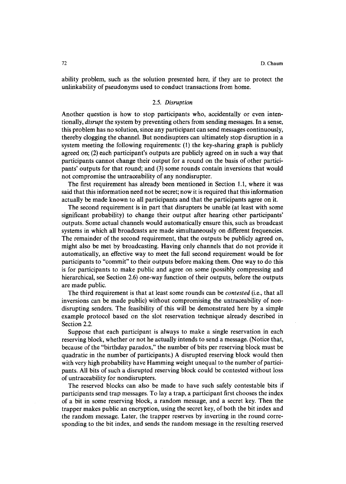ability problem, such as the solution presented here, if they are to protect the unlinkability of pseudonyms used to conduct transactions from home.

#### 2.5. *Disruption*

Another question is how to stop participants who, accidentally or even intentionally, *disrupt* the system by preventing others from sending messages. In a sense, this problem has no solution, since any participant can send messages continuously, thereby clogging the channel. But nondisupters can ultimately stop disruption in a system meeting the following requirements: (1) the key-sharing graph is publicly agreed on; (2) each participant's outputs are publicly agreed on in such a way that participants cannot change their output for a round on the basis of other participants' outputs for that round; and (3) some rounds contain inversions that would not compromise the untraceability of any nondisrupter.

The first requirement has already been mentioned in Section 1.1, where it was said that this information need not be secret; now it is required that this information actually be made known to all participants and that the participants agree on it.

The second requirement is in part that disrupters be unable (at least with some significant probability) to change their output after hearing other participants' outputs. Some actual channels would automatically ensure this, such as broadcast systems in which all broadcasts are made simultaneously on different frequencies. The remainder of the second requirement, that the outputs be publicly agreed on, might also be met by broadcasting. Having only channels that do not provide it automatically, an effective way to meet the full second requirement would be for participants to "commit" to their outputs before making them. One way to do this is for participants to make public and agree on some (possibly compressing and hierarchical, see Section 2.6) one-way function of their outputs, before the outputs are made public.

The third requirement is that at least some rounds can be *contested* (i.e., that all inversions can be made public) without compromising the untraceability of nondisrupting senders. The feasibility of this will be demonstrated here by a simple example protocol based on the slot reservation technique already described in Section 2.2.

Suppose that each participant is always to make a single reservation in each reserving block, whether or not he actually intends to send a message. (Notice that, because of the "birthday paradox," the number of bits per reserving block must be quadratic in the number of participants.) A disrupted reserving block would then with very high probability have Hamming weight unequal to the number of participants. All bits of such a disrupted reserving block could be contested without loss of untraceability for nondisrupters.

The reserved blocks can also be made to have such safely contestable bits if participants send trap messages. To lay a trap, a participant first chooses the index of a bit in some reserving block, a random message, and a secret key. Then the trapper makes public an encryption, using the secret key, of both the bit index and the random message. Later, the trapper reserves by inverting in the round corresponding to the bit index, and sends the random message in the resulting reserved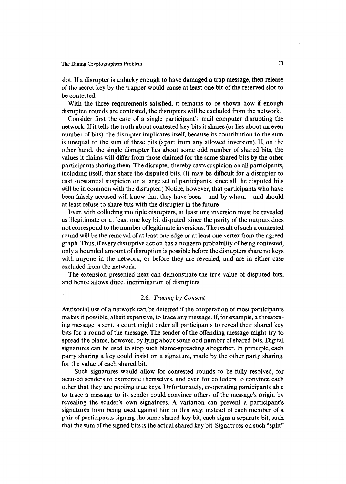The Dining Cryptographers Problem 73

slot. If a disrupter is unlucky enough to have damaged a trap message, then release of the secret key by the trapper would cause at least one bit of the reserved slot to be contested.

With the three requirements satisfied, it remains to be shown how if enough disrupted rounds are contested, the disrupters will be excluded from the network.

Consider first the case of a single participant's mail computer disrupting the network. If it tells the truth about contested key bits it shares (or lies about an even number of bits), the disrupter implicates itself, because its contribution to the sum is unequal to the sum of these bits (apart from any allowed inversion). If, on the other hand, the single disrupter lies about some odd number of shared bits, the values it claims will differ from those claimed for the same shared bits by the other participants sharing them. The disrupter thereby casts suspicion on all participants, including itself, that share the disputed bits. (It may be difficult for a disrupter to cast substantial suspicion on a large set of participants, since all the disputed bits will be in common with the disrupter.) Notice, however, that participants who have been falsely accused will know that they have been—and by whom—and should at least refuse to share bits with the disrupter in the future.

Even with colluding multiple disrupters, at least one inversion must be revealed as illegitimate or at least one key bit disputed, since the parity of the outputs does not correspond to the number of legitimate inversions. The result of such a contested round will be the removal of at least one edge or at least one vertex from the agreed graph. Thus, if every disruptive action has a nonzero probability of being contested, only a bounded amount of disruption is possible before the disrupters share no keys with anyone in the network, or before they are revealed, and are in either case excluded from the network.

The extension presented next can demonstrate the true value of disputed bits, and hence allows direct incrimination of disrupters.

# 2.6. *Tracin9 by Consent*

Antisocial use of a network can be deterred if the cooperation of most participants makes it possible, albeit expensive, to trace any message. If, for example, a threatening message is sent, a court might order all participants to reveal their shared key bits for a round of the message. The sender of the offending message might try to spread the blame, however, by lying about some odd number of shared bits. Digital signatures can be used to stop such blame-spreading altogether. In principle, each party sharing a key could insist on a signature, made by the other party sharing, for the value of each shared bit.

Such signatures would allow for contested rounds to be fully resolved, for accused senders to exonerate themselves, and even for colluders to convince each other that they are pooling true keys. Unfortunately, cooperating participants able to trace a message to its sender could convince others of the message's origin by revealing the sender's own signatures. A variation can prevent a participant's signatures from being used against him in this way: instead of each member of a pair of participants signing the same shared key bit, each signs a separate bit, such that the sum of the signed bits is the actual shared key bit. Signatures on such "split"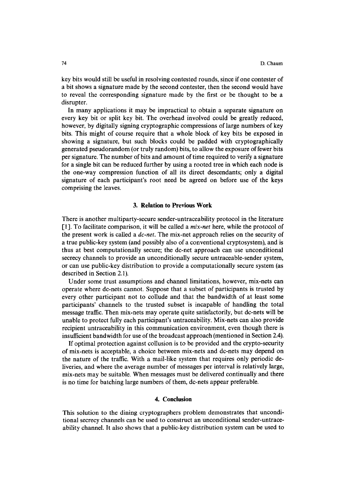key bits would still be useful in resolving contested rounds, since if one contester of a bit shows a signature made by the second contester, then the second would have to reveal the corresponding signature made by the first or be thought to be a disrupter.

In many applications it may be impractical to obtain a separate signature on every key bit or split key bit. The overhead involved could be greatly reduced, however, by digitally signing cryptographic compressions of large numbers of key bits. This might of course require that a whole block of key bits be exposed in showing a signature, but such blocks could be padded with cryptographically generated pseudorandom (or truly random) bits, to allow the exposure of fewer bits per signature. The number of bits and amount of time required to verify a signature for a single bit can be reduced further by using a rooted tree in which each node is the one-way compression function of all its direct descendants; only a digital signature of each participant's root need be agreed on before use of the keys comprising the leaves.

# **3. Relation to Previous Work**

There is another multiparty-secure sender-untraceability protocol in the literature [1]. To facilitate comparison, it will be called a *mix-net* here, while the protocol of the present work is called a *dc-net.* The mix-net approach relies on the security of a true public-key system (and possibly also of a conventional cryptosystem), and is thus at best computationally secure; the dc-net approach can use unconditional secrecy channels to provide an unconditionally secure untraceable-sender system, or can use public-key distribution to provide a computationally secure system (as described in Section 2.1).

Under some trust assumptions and channel limitations, however, mix-nets can operate where dc-nets cannot. Suppose that a subset of participants is trusted by every other participant not to collude and that the bandwidth of at least some participants' channels to the trusted subset is incapable of handling the total message traffic. Then mix-nets may operate quite satisfactorily, but dc-nets will be unable to protect fully each participant's untraceability. Mix-nets can also provide recipient untraceability in this communication environment, even though there is insufficient bandwidth for use of the broadcast approach (mentioned in Section 2.4).

If optimal protection against collusion is to be provided and the crypto-security of mix-nets is acceptable, a choice between mix-nets and dc-nets may depend on the nature of the traffic. With a mail-like system that requires only periodic deliveries, and where the average number of messages per interval is relatively large, mix-nets may be suitable. When messages must be delivered continually and there is no time for batching large numbers of them, dc-nets appear preferable.

# **4. Conclusion**

This solution to the dining cryptographers problem demonstrates that unconditional secrecy channels can be used to construct an unconditional sender-untraceability channel. It also shows that a public-key distribution system can be used to